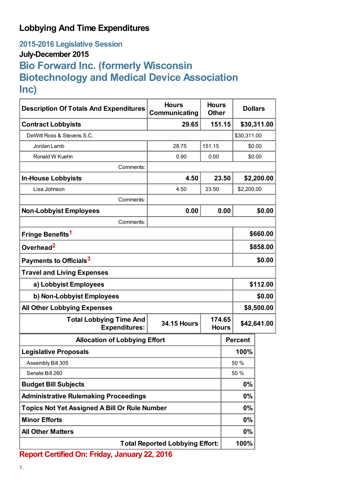## **Lobbying And Time Expenditures**

**2015-2016 Legislative Session**

## **July-December 2015**

## **Bio Forward Inc. (formerly Wisconsin Biotechnology and Medical Device Association Inc)**

| <b>Description Of Totals And Expenditures</b>          | <b>Hours</b><br>Communicating | <b>Hours</b><br><b>Other</b> | <b>Dollars</b> |                |             |
|--------------------------------------------------------|-------------------------------|------------------------------|----------------|----------------|-------------|
| <b>Contract Lobbyists</b>                              | 29.65                         | 151.15                       |                |                | \$30,311.00 |
| DeWitt Ross & Stevens S.C.                             |                               |                              |                | \$30,311.00    |             |
| Jordan Lamb                                            | 28.75                         | 151.15                       |                | \$0.00         |             |
| Ronald W Kuehn                                         | 0.90                          | 0.00                         |                | \$0.00         |             |
| Comments:                                              |                               |                              |                |                |             |
| <b>In-House Lobbyists</b>                              | 4.50                          |                              | 23.50          |                | \$2,200.00  |
| Lisa Johnson                                           | 4.50                          | 23.50                        |                | \$2,200.00     |             |
| Comments:                                              |                               |                              |                |                |             |
| <b>Non-Lobbyist Employees</b>                          | 0.00                          |                              | 0.00           |                | \$0.00      |
| Comments:                                              |                               |                              |                |                |             |
| Fringe Benefits <sup>1</sup>                           |                               |                              |                | \$660.00       |             |
| Overhead <sup>2</sup>                                  |                               |                              |                | \$858.00       |             |
| Payments to Officials <sup>3</sup>                     |                               |                              |                | \$0.00         |             |
| <b>Travel and Living Expenses</b>                      |                               |                              |                |                |             |
| a) Lobbyist Employees                                  |                               |                              |                | \$112.00       |             |
| b) Non-Lobbyist Employees                              |                               |                              |                | \$0.00         |             |
| <b>All Other Lobbying Expenses</b>                     |                               |                              |                | \$8,500.00     |             |
| <b>Total Lobbying Time And</b><br><b>Expenditures:</b> | <b>34.15 Hours</b>            | 174.65<br><b>Hours</b>       |                | \$42,641.00    |             |
| <b>Allocation of Lobbying Effort</b>                   |                               |                              |                | <b>Percent</b> |             |
| <b>Legislative Proposals</b>                           |                               |                              |                | 100%           |             |
| Assembly Bill 305                                      |                               |                              |                | 50 %           |             |
| Senate Bill 260                                        |                               |                              | 50 %           |                |             |
| <b>Budget Bill Subjects</b>                            |                               |                              | 0%             |                |             |
| <b>Administrative Rulemaking Proceedings</b>           |                               |                              | 0%             |                |             |
| <b>Topics Not Yet Assigned A Bill Or Rule Number</b>   |                               |                              |                | $0\%$          |             |
| <b>Minor Efforts</b>                                   |                               |                              |                | $0\%$          |             |
| <b>All Other Matters</b>                               |                               |                              |                | $0\%$          |             |
| <b>Total Reported Lobbying Effort:</b>                 |                               |                              |                | 100%           |             |

**Report Certified On: Friday, January 22, 2016**